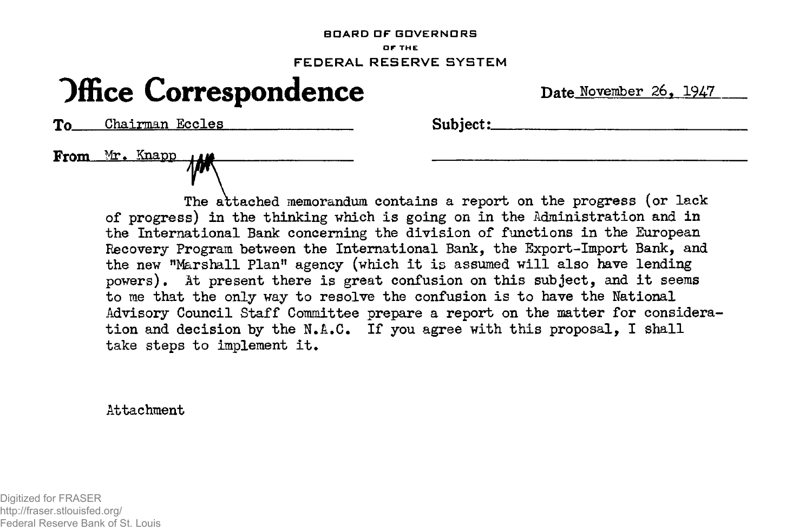## **BOARD OF GOVERNORS OF THE FEDERAL RESERVE SYSTEM**

## **Office Correspondence Date November 26, 1947**

To Chairman Eccles Subject:

From Mr. Knapp

The attached memorandum contains a report on the progress (or lack of progress) in the thinking which is going on in the Administration and in the International Bank concerning the division of functions in the European Recovery Program between the International Bank, the Export-Import Bank, and the new "Marshall Plan" agency (which it is assumed will also have lending powers). At present there is great confusion on this subject, and it seems to me that the only way to resolve the confusion is to have the National Advisory Council Staff Committee prepare a report on the matter for consideration and decision by the N.&.C. If you agree with this proposal, I shall take steps to implement it.

Attachment

Digitized for FRASER http://fraser.stlouisfed.org/ Federal Reserve Bank of St. Louis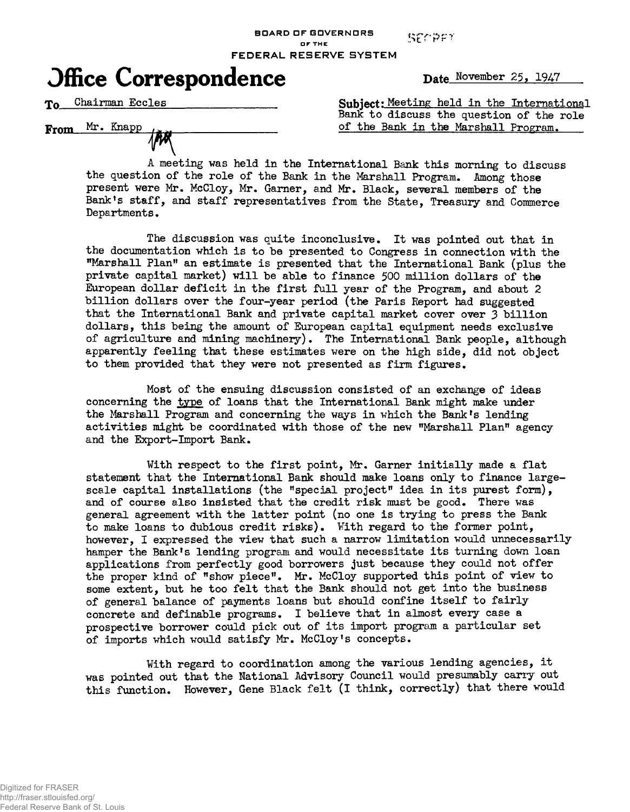SECREY

**DFTHE FEDERAL RESERVE SYSTEM**

**BOARD DF GOVERNORS**



To Chairman Eccles

From Mr. Knapp

Subject: Meeting held in the International Bank to discuss the question of the role of the Bank in the Marshall Program.

A meeting was held in the International Bank this morning to discuss the question of the role of the Bank in the Marshall Program. Among those present were Mr. McCloy, Mr. Garner, and Mr. Black, several members of the Bank's staff, and staff representatives from the State, Treasury and Commerce Departments.

The discussion was quite inconclusive. It was pointed out that in the documentation which is to be presented to Congress in connection with the "Marshall Plan" an estimate is presented that the International Bank (plus the private capital market) will be able to finance 500 million dollars of the European dollar deficit in the first full year of the Program, and about 2 billion dollars over the four-year period (the Paris Report had suggested that the International Bank and private capital market cover over 3 billion dollars, this being the amount of European capital equipment needs exclusive of agriculture and mining machinery). The International Bank people, although apparently feeling that these estimates were on the high side, did not object to them provided that they were not presented as firm figures.

Most of the ensuing discussion consisted of an exchange of ideas concerning the type of loans that the International Bank might make under the Marshall Program and concerning the ways in which the Bank's lending activities might be coordinated with those of the new "Marshall Plan" agency and the Export-Import Bank.

With respect to the first point, Mr. Garner initially made a flat statement that the International Bank should make loans only to finance largescale capital installations (the "special project" idea in its purest form), and of course also insisted that the credit risk must be good. There was general agreement with the latter point (no one is trying to press the Bank to make loans to dubious credit risks). With regard to the former point, however, I expressed the view that such a narrow limitation would unnecessarily hamper the Bank's lending program and would necessitate its turning down loan applications from perfectly good borrowers just because they could not offer the proper kind of "show piece". Mr. McCloy supported this point of view to some extent, but he too felt that the Bank should not get into the business of general balance of payments loans but should confine itself to fairly concrete and definable programs. I believe that in almost every case a prospective borrower could pick out of its import program a particular set of imports which would satisfy Mr. McCloy's concepts.

With regard to coordination among the various lending agencies, it was pointed out that the National Advisory Council would presumably carry out this function. However, Gene Black felt (I think, correctly) that there would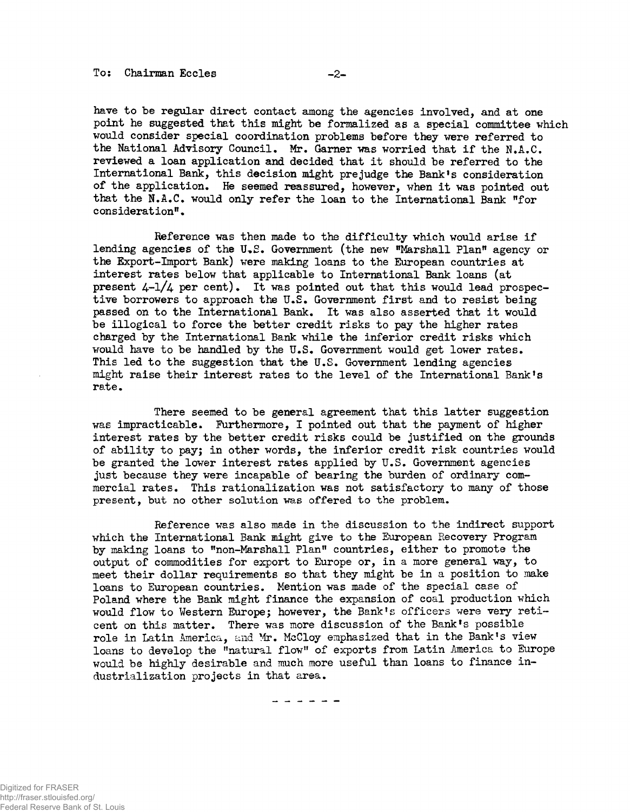have to be regular direct contact among the agencies involved, and at one point he suggested that this might be formalized as a special committee which would consider special coordination problems before they were referred to the National Advisory Council. Mr. Garner was worried that if the N.A.C. reviewed a loan application and decided that it should be referred to the International Bank, this decision might prejudge the Bank's consideration of the application. He seemed reassured, however, when it was pointed out that the N.A.C. would only refer the loan to the International Bank "for consideration".

Reference was then made to the difficulty which would arise if lending agencies of the U.S. Government (the new "Marshall Plan" agency or the Export-Import Bank) were making loans to the European countries at interest rates below that applicable to International Bank loans (at present  $4-1/4$  per cent). It was pointed out that this would lead prospective borrowers to approach the U.S. Government first and to resist being passed on to the International Bank. It was also asserted that it would be illogical to force the better credit risks to pay the higher rates charged by the International Bank while the inferior credit risks which would have to be handled by the U.S. Government would get lower rates. This led to the suggestion that the U.S. Government lending agencies might raise their interest rates to the level of the International Bank's rate.

There seemed to be general agreement that this latter suggestion was impracticable. Furthermore, I pointed out that the payment of higher interest rates by the better credit risks could be justified on the grounds of ability to payj in other words, the inferior credit risk countries would be granted the lower interest rates applied by U.S. Government agencies just because they were incapable of bearing the burden of ordinary commercial rates. This rationalization was not satisfactory to many of those present, but no other solution was offered to the problem.

Reference was also made in the discussion to the indirect support which the International Bank might give to the European Recovery Program by making loans to "non-Marshall Plan" countries, either to promote the output of commodities for export to Europe or, in a more general way, to meet their dollar requirements so that they might be in a position to make loans to European countries. Mention was made of the special case of Poland where the Bank might finance the expansion of coal production which would flow to Western Europe; however, the Bank's officers were very reticent on this matter. There was more discussion of the Bank's possible role in Latin America, and Mr. McCloy emphasized that in the Bank's view loans to develop the "natural flow" of exports from Latin America to Europe would be highly desirable and much more useful than loans to finance industrialization projects in that area.

------